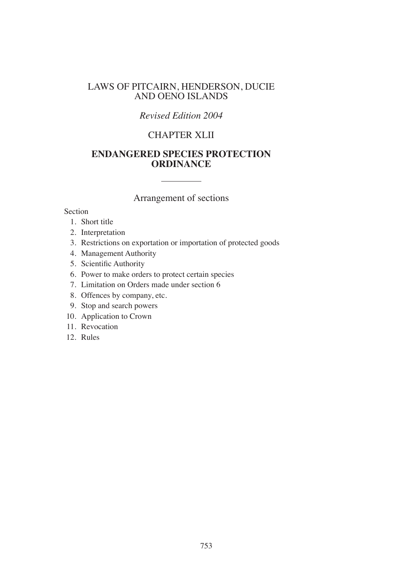# LAWS OF PITCAIRN, HENDERSON, DUCIE AND OENO ISLANDS

# *Revised Edition 2004*

# CHAPTER XLII

# **ENDANGERED SPECIES PROTECTION ORDINANCE**

# Arrangement of sections

#### Section

- 1. Short title
- 2. Interpretation
- 3. Restrictions on exportation or importation of protected goods
- 4. Management Authority
- 5. Scientific Authority
- 6. Power to make orders to protect certain species
- 7. Limitation on Orders made under section 6
- 8. Offences by company, etc.
- 9. Stop and search powers
- 10. Application to Crown
- 11. Revocation
- 12. Rules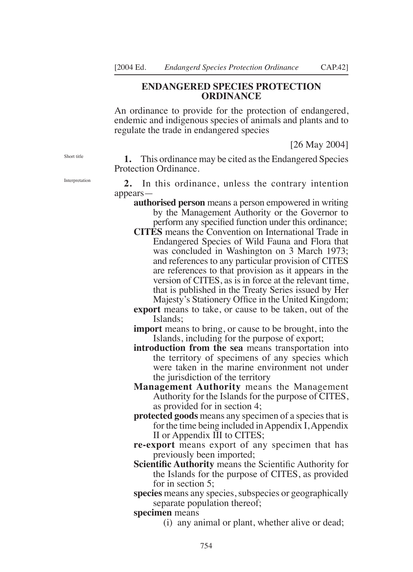### **ENDANGERED SPECIES PROTECTION ORDINANCE**

An ordinance to provide for the protection of endangered, endemic and indigenous species of animals and plants and to regulate the trade in endangered species

[26 May 2004]

**1.** This ordinance may be cited as the Endangered Species Protection Ordinance.

**2.** In this ordinance, unless the contrary intention appears—

- **authorised person** means a person empowered in writing by the Management Authority or the Governor to perform any specified function under this ordinance;
- **CITES** means the Convention on International Trade in Endangered Species of Wild Fauna and Flora that was concluded in Washington on 3 March 1973; and references to any particular provision of CITES are references to that provision as it appears in the version of CITES, as is in force at the relevant time, that is published in the Treaty Series issued by Her Majesty's Stationery Ofice in the United Kingdom;
- **export** means to take, or cause to be taken, out of the Islands;

**import** means to bring, or cause to be brought, into the Islands, including for the purpose of export;

- **introduction from the sea** means transportation into the territory of specimens of any species which were taken in the marine environment not under the jurisdiction of the territory
- **Management Authority** means the Management Authority for the Islands for the purpose of CITES, as provided for in section 4;
- **protected goods** means any specimen of a species that is for the time being included in Appendix I, Appendix II or Appendix III to CITES;
- **re-export** means export of any specimen that has previously been imported;
- **Scientific Authority** means the Scientific Authority for the Islands for the purpose of CITES, as provided for in section 5;
- **species** means any species, subspecies or geographically separate population thereof;

**specimen** means

(i) any animal or plant, whether alive or dead;

Short title

Interpretation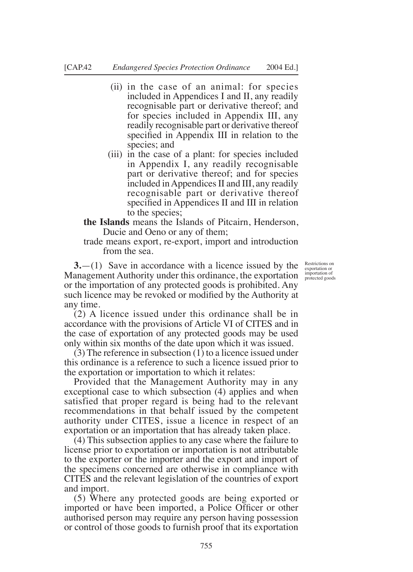- (ii) in the case of an animal: for species included in Appendices I and II, any readily recognisable part or derivative thereof; and for species included in Appendix III, any readily recognisable part or derivative thereof specified in Appendix III in relation to the species; and
- (iii) in the case of a plant: for species included in Appendix I, any readily recognisable part or derivative thereof; and for species included in Appendices II and III, any readily recognisable part or derivative thereof specified in Appendices II and III in relation to the species;
- **the Islands** means the Islands of Pitcairn, Henderson, Ducie and Oeno or any of them;
- trade means export, re-export, import and introduction from the sea.

**3.**—(1) Save in accordance with a licence issued by the Management Authority under this ordinance, the exportation or the importation of any protected goods is prohibited. Any such licence may be revoked or modified by the Authority at any time.

(2) A licence issued under this ordinance shall be in accordance with the provisions of Article VI of CITES and in the case of exportation of any protected goods may be used only within six months of the date upon which it was issued.

(3) The reference in subsection (1) to a licence issued under this ordinance is a reference to such a licence issued prior to the exportation or importation to which it relates:

Provided that the Management Authority may in any exceptional case to which subsection (4) applies and when satisfied that proper regard is being had to the relevant recommendations in that behalf issued by the competent authority under CITES, issue a licence in respect of an exportation or an importation that has already taken place.

(4) This subsection applies to any case where the failure to license prior to exportation or importation is not attributable to the exporter or the importer and the export and import of the specimens concerned are otherwise in compliance with CITES and the relevant legislation of the countries of export and import.

(5) Where any protected goods are being exported or imported or have been imported, a Police Oficer or other authorised person may require any person having possession or control of those goods to furnish proof that its exportation

Restrictions on exportation or importation of protected goods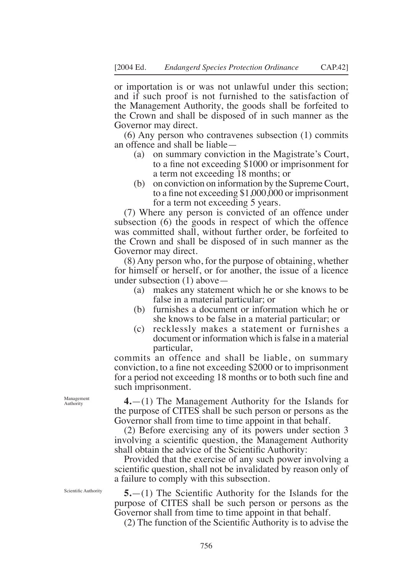or importation is or was not unlawful under this section; and if such proof is not furnished to the satisfaction of the Management Authority, the goods shall be forfeited to the Crown and shall be disposed of in such manner as the Governor may direct.

(6) Any person who contravenes subsection (1) commits an offence and shall be liable—

- (a) on summary conviction in the Magistrate's Court, to a fine not exceeding \$1000 or imprisonment for a term not exceeding 18 months; or
- (b) on conviction on information by the Supreme Court, to a fine not exceeding  $$1,000,000$  or imprisonment for a term not exceeding 5 years.

(7) Where any person is convicted of an offence under subsection (6) the goods in respect of which the offence was committed shall, without further order, be forfeited to the Crown and shall be disposed of in such manner as the Governor may direct.

(8) Any person who, for the purpose of obtaining, whether for himself or herself, or for another, the issue of a licence under subsection (1) above—

- (a) makes any statement which he or she knows to be false in a material particular; or
- (b) furnishes a document or information which he or she knows to be false in a material particular; or
- (c) recklessly makes a statement or furnishes a document or information which is false in a material particular,

commits an offence and shall be liable, on summary conviction, to a fine not exceeding \$2000 or to imprisonment for a period not exceeding 18 months or to both such fine and such imprisonment.

**4.**—(1) The Management Authority for the Islands for the purpose of CITES shall be such person or persons as the Governor shall from time to time appoint in that behalf.

(2) Before exercising any of its powers under section 3 involving a scientific question, the Management Authority shall obtain the advice of the Scientific Authority:

Provided that the exercise of any such power involving a scientific question, shall not be invalidated by reason only of a failure to comply with this subsection.

**5.**—(1) The Scientific Authority for the Islands for the purpose of CITES shall be such person or persons as the Governor shall from time to time appoint in that behalf.

(2) The function of the Scientiic Authority is to advise the

Management Authority

Scientific Authority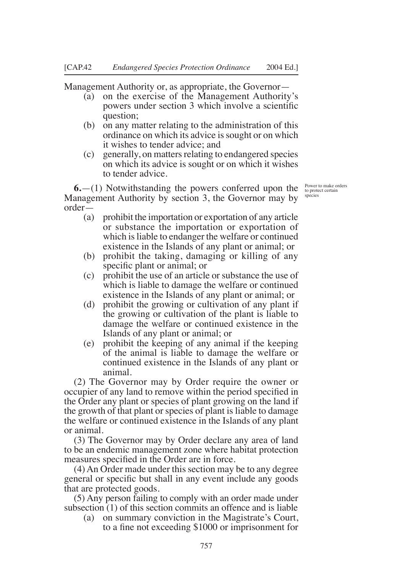Management Authority or, as appropriate, the Governor—

- (a) on the exercise of the Management Authority's powers under section 3 which involve a scientiic question;
- (b) on any matter relating to the administration of this ordinance on which its advice is sought or on which it wishes to tender advice; and
- (c) generally, on matters relating to endangered species on which its advice is sought or on which it wishes to tender advice.

**6.**—(1) Notwithstanding the powers conferred upon the Management Authority by section 3, the Governor may by order—

- (a) prohibit the importation or exportation of any article or substance the importation or exportation of which is liable to endanger the welfare or continued existence in the Islands of any plant or animal; or
- (b) prohibit the taking, damaging or killing of any specific plant or animal; or
- (c) prohibit the use of an article or substance the use of which is liable to damage the welfare or continued existence in the Islands of any plant or animal; or
- (d) prohibit the growing or cultivation of any plant if the growing or cultivation of the plant is liable to damage the welfare or continued existence in the Islands of any plant or animal; or
- (e) prohibit the keeping of any animal if the keeping of the animal is liable to damage the welfare or continued existence in the Islands of any plant or animal.

(2) The Governor may by Order require the owner or occupier of any land to remove within the period specified in the Order any plant or species of plant growing on the land if the growth of that plant or species of plant is liable to damage the welfare or continued existence in the Islands of any plant or animal.

(3) The Governor may by Order declare any area of land to be an endemic management zone where habitat protection measures specified in the Order are in force.

(4) An Order made under this section may be to any degree general or specific but shall in any event include any goods that are protected goods.

(5) Any person failing to comply with an order made under subsection (1) of this section commits an offence and is liable

(a) on summary conviction in the Magistrate's Court, to a fine not exceeding \$1000 or imprisonment for

Power to make orders to protect certain species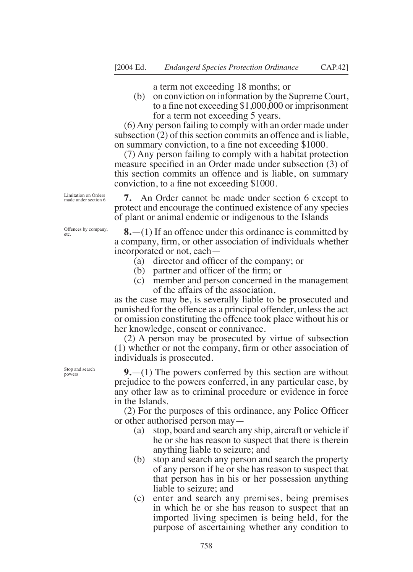a term not exceeding 18 months; or

(b) on conviction on information by the Supreme Court, to a fine not exceeding  $$1,000,000$  or imprisonment for a term not exceeding 5 years.

(6) Any person failing to comply with an order made under subsection (2) of this section commits an offence and is liable, on summary conviction, to a fine not exceeding \$1000.

(7) Any person failing to comply with a habitat protection measure specified in an Order made under subsection (3) of this section commits an offence and is liable, on summary conviction, to a fine not exceeding \$1000.

Limitation on Orders made under section 6

Offences by company,

etc.

**7.** An Order cannot be made under section 6 except to protect and encourage the continued existence of any species of plant or animal endemic or indigenous to the Islands

**8.**—(1) If an offence under this ordinance is committed by a company, irm, or other association of individuals whether incorporated or not, each—

- (a) director and oficer of the company; or
- (b) partner and officer of the firm; or
- (c) member and person concerned in the management of the affairs of the association,

as the case may be, is severally liable to be prosecuted and punished for the offence as a principal offender, unless the act or omission constituting the offence took place without his or her knowledge, consent or connivance.

(2) A person may be prosecuted by virtue of subsection (1) whether or not the company, irm or other association of individuals is prosecuted.

**9.**—(1) The powers conferred by this section are without prejudice to the powers conferred, in any particular case, by any other law as to criminal procedure or evidence in force in the Islands.

(2) For the purposes of this ordinance, any Police Oficer or other authorised person may—

- (a) stop, board and search any ship, aircraft or vehicle if he or she has reason to suspect that there is therein anything liable to seizure; and
- (b) stop and search any person and search the property of any person if he or she has reason to suspect that that person has in his or her possession anything liable to seizure; and
- (c) enter and search any premises, being premises in which he or she has reason to suspect that an imported living specimen is being held, for the purpose of ascertaining whether any condition to

Stop and search powers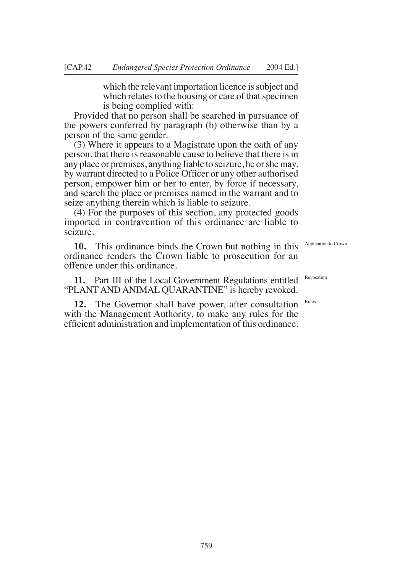which the relevant importation licence is subject and which relates to the housing or care of that specimen is being complied with:

Provided that no person shall be searched in pursuance of the powers conferred by paragraph (b) otherwise than by a person of the same gender.

(3) Where it appears to a Magistrate upon the oath of any person, that there is reasonable cause to believe that there is in any place or premises, anything liable to seizure, he or she may, by warrant directed to a Police Oficer or any other authorised person, empower him or her to enter, by force if necessary, and search the place or premises named in the warrant and to seize anything therein which is liable to seizure.

(4) For the purposes of this section, any protected goods imported in contravention of this ordinance are liable to seizure.

**10.** This ordinance binds the Crown but nothing in this ordinance renders the Crown liable to prosecution for an offence under this ordinance.

**11.** Part III of the Local Government Regulations entitled "PLANT AND ANIMAL QUARANTINE" is hereby revoked.

**12.** The Governor shall have power, after consultation with the Management Authority, to make any rules for the eficient administration and implementation of this ordinance.

Application to Crown

Revocation

Rules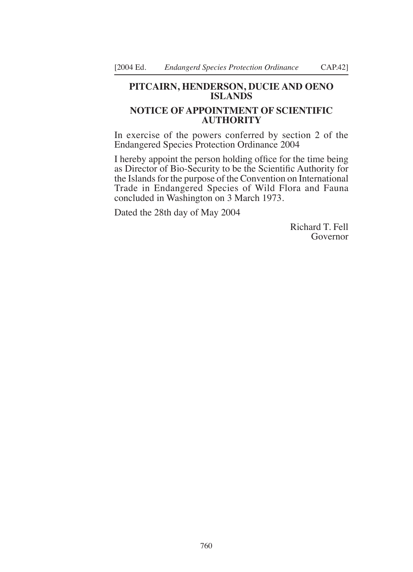## **PITCAIRN, HENDERSON, DuCIE AND OENO ISLANDS**

# **NOTICE OF APPOINTMENT OF SCIENTIFIC AuTHORITY**

In exercise of the powers conferred by section 2 of the Endangered Species Protection Ordinance 2004

I hereby appoint the person holding ofice for the time being as Director of Bio-Security to be the Scientiic Authority for the Islands for the purpose of the Convention on International Trade in Endangered Species of Wild Flora and Fauna concluded in Washington on 3 March 1973.

Dated the 28th day of May 2004

Richard T. Fell Governor